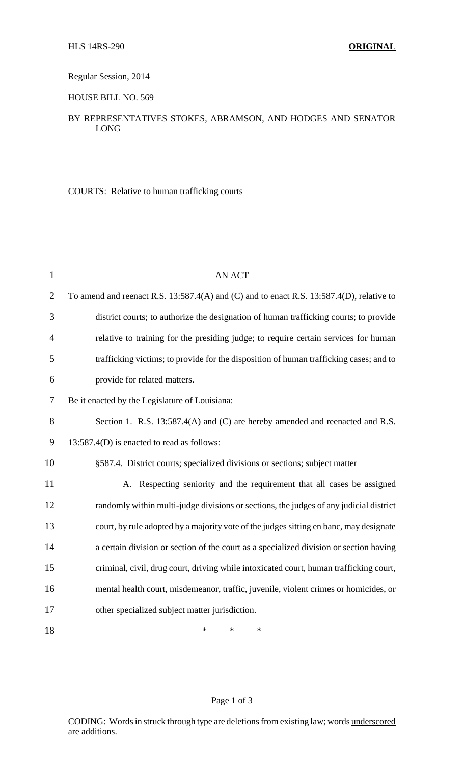## Regular Session, 2014

### HOUSE BILL NO. 569

# BY REPRESENTATIVES STOKES, ABRAMSON, AND HODGES AND SENATOR LONG

COURTS: Relative to human trafficking courts

| $\mathbf{1}$   | <b>AN ACT</b>                                                                            |
|----------------|------------------------------------------------------------------------------------------|
| $\overline{2}$ | To amend and reenact R.S. 13:587.4(A) and (C) and to enact R.S. 13:587.4(D), relative to |
| 3              | district courts; to authorize the designation of human trafficking courts; to provide    |
| $\overline{4}$ | relative to training for the presiding judge; to require certain services for human      |
| 5              | trafficking victims; to provide for the disposition of human trafficking cases; and to   |
| 6              | provide for related matters.                                                             |
| 7              | Be it enacted by the Legislature of Louisiana:                                           |
| 8              | Section 1. R.S. 13:587.4(A) and (C) are hereby amended and reenacted and R.S.            |
| 9              | 13:587.4(D) is enacted to read as follows:                                               |
| 10             | §587.4. District courts; specialized divisions or sections; subject matter               |
| 11             | A. Respecting seniority and the requirement that all cases be assigned                   |
| 12             | randomly within multi-judge divisions or sections, the judges of any judicial district   |
| 13             | court, by rule adopted by a majority vote of the judges sitting en banc, may designate   |
| 14             | a certain division or section of the court as a specialized division or section having   |
| 15             | criminal, civil, drug court, driving while intoxicated court, human trafficking court,   |
| 16             | mental health court, misdemeanor, traffic, juvenile, violent crimes or homicides, or     |
| 17             | other specialized subject matter jurisdiction.                                           |
| 18             | *<br>*<br>*                                                                              |

#### Page 1 of 3

CODING: Words in struck through type are deletions from existing law; words underscored are additions.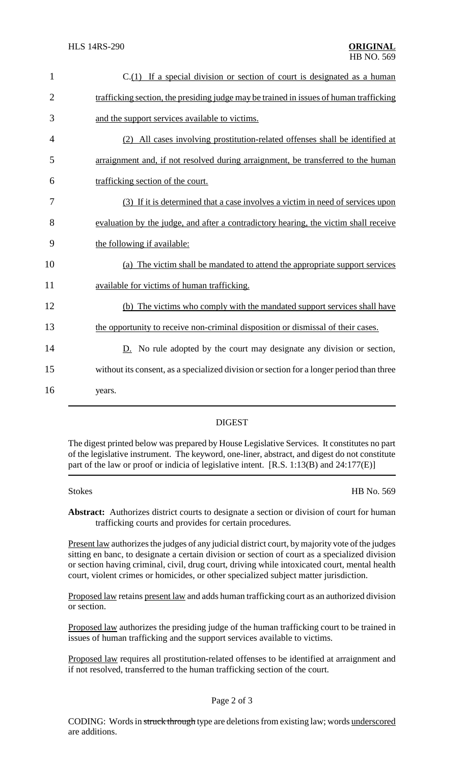| $\mathbf{1}$   | $C(1)$ If a special division or section of court is designated as a human                |
|----------------|------------------------------------------------------------------------------------------|
| $\overline{2}$ | trafficking section, the presiding judge may be trained in issues of human trafficking   |
| 3              | and the support services available to victims.                                           |
| 4              | (2) All cases involving prostitution-related offenses shall be identified at             |
| 5              | arraignment and, if not resolved during arraignment, be transferred to the human         |
| 6              | trafficking section of the court.                                                        |
| 7              | (3) If it is determined that a case involves a victim in need of services upon           |
| 8              | evaluation by the judge, and after a contradictory hearing, the victim shall receive     |
| 9              | the following if available:                                                              |
| 10             | (a) The victim shall be mandated to attend the appropriate support services              |
| 11             | available for victims of human trafficking.                                              |
| 12             | (b) The victims who comply with the mandated support services shall have                 |
| 13             | the opportunity to receive non-criminal disposition or dismissal of their cases.         |
| 14             | $D.$ No rule adopted by the court may designate any division or section,                 |
| 15             | without its consent, as a specialized division or section for a longer period than three |
| 16             | years.                                                                                   |
|                |                                                                                          |

# DIGEST

The digest printed below was prepared by House Legislative Services. It constitutes no part of the legislative instrument. The keyword, one-liner, abstract, and digest do not constitute part of the law or proof or indicia of legislative intent. [R.S. 1:13(B) and 24:177(E)]

Stokes HB No. 569

**Abstract:** Authorizes district courts to designate a section or division of court for human trafficking courts and provides for certain procedures.

Present law authorizes the judges of any judicial district court, by majority vote of the judges sitting en banc, to designate a certain division or section of court as a specialized division or section having criminal, civil, drug court, driving while intoxicated court, mental health court, violent crimes or homicides, or other specialized subject matter jurisdiction.

Proposed law retains present law and adds human trafficking court as an authorized division or section.

Proposed law authorizes the presiding judge of the human trafficking court to be trained in issues of human trafficking and the support services available to victims.

Proposed law requires all prostitution-related offenses to be identified at arraignment and if not resolved, transferred to the human trafficking section of the court.